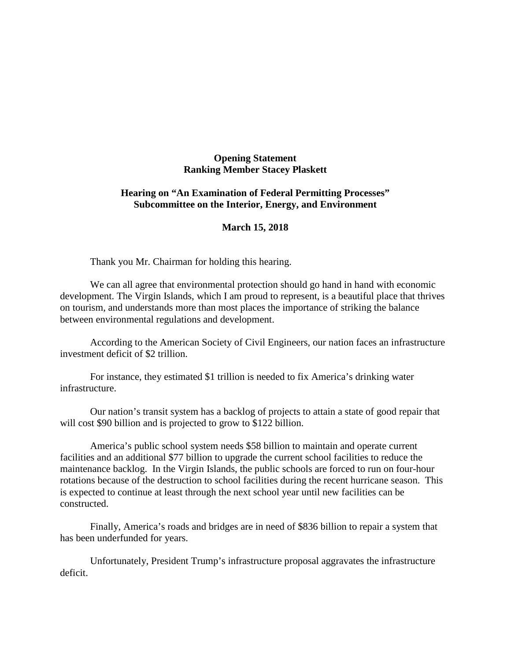## **Opening Statement Ranking Member Stacey Plaskett**

## **Hearing on "An Examination of Federal Permitting Processes" Subcommittee on the Interior, Energy, and Environment**

## **March 15, 2018**

Thank you Mr. Chairman for holding this hearing.

We can all agree that environmental protection should go hand in hand with economic development. The Virgin Islands, which I am proud to represent, is a beautiful place that thrives on tourism, and understands more than most places the importance of striking the balance between environmental regulations and development.

According to the American Society of Civil Engineers, our nation faces an infrastructure investment deficit of \$2 trillion.

For instance, they estimated \$1 trillion is needed to fix America's drinking water infrastructure.

Our nation's transit system has a backlog of projects to attain a state of good repair that will cost \$90 billion and is projected to grow to \$122 billion.

America's public school system needs \$58 billion to maintain and operate current facilities and an additional \$77 billion to upgrade the current school facilities to reduce the maintenance backlog. In the Virgin Islands, the public schools are forced to run on four-hour rotations because of the destruction to school facilities during the recent hurricane season. This is expected to continue at least through the next school year until new facilities can be constructed.

Finally, America's roads and bridges are in need of \$836 billion to repair a system that has been underfunded for years.

Unfortunately, President Trump's infrastructure proposal aggravates the infrastructure deficit.